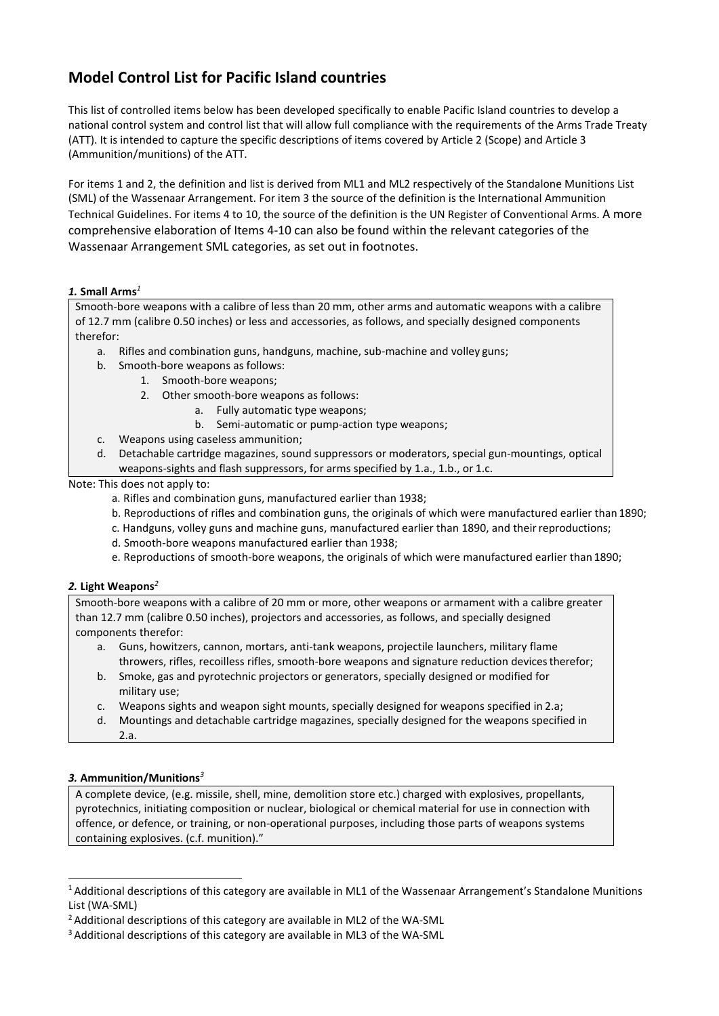# **Model Control List for Pacific Island countries**

This list of controlled items below has been developed specifically to enable Pacific Island countries to develop a national control system and control list that will allow full compliance with the requirements of the Arms Trade Treaty (ATT). It is intended to capture the specific descriptions of items covered by Article 2 (Scope) and Article 3 (Ammunition/munitions) of the ATT.

For items 1 and 2, the definition and list is derived from ML1 and ML2 respectively of the Standalone Munitions List (SML) of the Wassenaar Arrangement. For item 3 the source of the definition is the International Ammunition Technical Guidelines. For items 4 to 10, the source of the definition is the UN Register of Conventional Arms. A more comprehensive elaboration of Items 4-10 can also be found within the relevant categories of the Wassenaar Arrangement SML categories, as set out in footnotes.

# *1.* **Small Arms***<sup>1</sup>*

Smooth-bore weapons with a calibre of less than 20 mm, other arms and automatic weapons with a calibre of 12.7 mm (calibre 0.50 inches) or less and accessories, as follows, and specially designed components therefor:

- a. Rifles and combination guns, handguns, machine, sub-machine and volley guns;
- b. Smooth-bore weapons as follows:
	- 1. Smooth-bore weapons;
	- 2. Other smooth-bore weapons as follows:
		- a. Fully automatic type weapons;
			- b. Semi-automatic or pump-action type weapons;
- c. Weapons using caseless ammunition;
- d. Detachable cartridge magazines, sound suppressors or moderators, special gun-mountings, optical weapons-sights and flash suppressors, for arms specified by 1.a., 1.b., or 1.c.

Note: This does not apply to:

- a. Rifles and combination guns, manufactured earlier than 1938;
- b. Reproductions of rifles and combination guns, the originals of which were manufactured earlier than 1890;
- c. Handguns, volley guns and machine guns, manufactured earlier than 1890, and theirreproductions;
- d. Smooth-bore weapons manufactured earlier than 1938;
- e. Reproductions of smooth-bore weapons, the originals of which were manufactured earlier than 1890;

# *2.* **Light Weapons***<sup>2</sup>*

Smooth-bore weapons with a calibre of 20 mm or more, other weapons or armament with a calibre greater than 12.7 mm (calibre 0.50 inches), projectors and accessories, as follows, and specially designed components therefor:

- a. Guns, howitzers, cannon, mortars, anti-tank weapons, projectile launchers, military flame throwers, rifles, recoilless rifles, smooth-bore weapons and signature reduction devices therefor;
- b. Smoke, gas and pyrotechnic projectors or generators, specially designed or modified for military use;
- c. Weapons sights and weapon sight mounts, specially designed for weapons specified in 2.a;
- d. Mountings and detachable cartridge magazines, specially designed for the weapons specified in  $2a$

# *3.* **Ammunition/Munitions***<sup>3</sup>*

A complete device, (e.g. missile, shell, mine, demolition store etc.) charged with explosives, propellants, pyrotechnics, initiating composition or nuclear, biological or chemical material for use in connection with offence, or defence, or training, or non-operational purposes, including those parts of weapons systems containing explosives. (c.f. munition)."

<sup>&</sup>lt;sup>1</sup> Additional descriptions of this category are available in ML1 of the Wassenaar Arrangement's Standalone Munitions List (WA-SML)

<sup>2</sup> Additional descriptions of this category are available in ML2 of the WA-SML

<sup>&</sup>lt;sup>3</sup> Additional descriptions of this category are available in ML3 of the WA-SML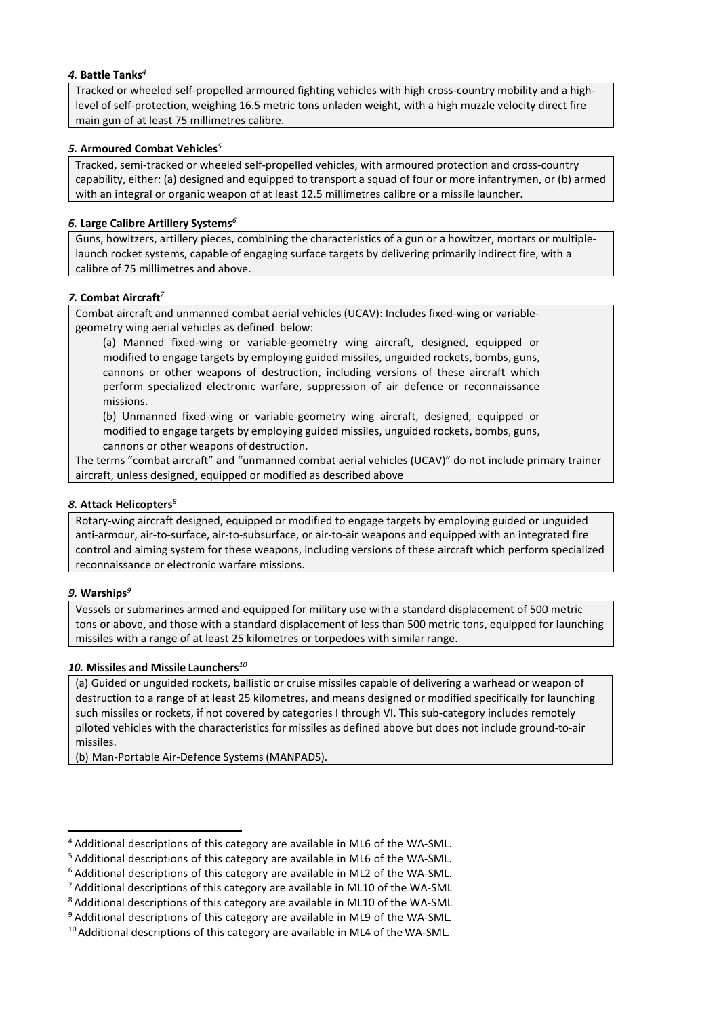# *4.* **Battle Tanks***<sup>4</sup>*

Tracked or wheeled self-propelled armoured fighting vehicles with high cross-country mobility and a highlevel of self-protection, weighing 16.5 metric tons unladen weight, with a high muzzle velocity direct fire main gun of at least 75 millimetres calibre.

### *5.* **Armoured Combat Vehicles***<sup>5</sup>*

Tracked, semi-tracked or wheeled self-propelled vehicles, with armoured protection and cross-country capability, either: (a) designed and equipped to transport a squad of four or more infantrymen, or (b) armed with an integral or organic weapon of at least 12.5 millimetres calibre or a missile launcher.

### *6.* **Large Calibre Artillery Systems***<sup>6</sup>*

Guns, howitzers, artillery pieces, combining the characteristics of a gun or a howitzer, mortars or multiplelaunch rocket systems, capable of engaging surface targets by delivering primarily indirect fire, with a calibre of 75 millimetres and above.

#### *7.* **Combat Aircraft***<sup>7</sup>*

Combat aircraft and unmanned combat aerial vehicles (UCAV): Includes fixed-wing or variablegeometry wing aerial vehicles as defined below:

(a) Manned fixed-wing or variable-geometry wing aircraft, designed, equipped or modified to engage targets by employing guided missiles, unguided rockets, bombs, guns, cannons or other weapons of destruction, including versions of these aircraft which perform specialized electronic warfare, suppression of air defence or reconnaissance missions.

(b) Unmanned fixed-wing or variable-geometry wing aircraft, designed, equipped or modified to engage targets by employing guided missiles, unguided rockets, bombs, guns, cannons or other weapons of destruction.

The terms "combat aircraft" and "unmanned combat aerial vehicles (UCAV)" do not include primary trainer aircraft, unless designed, equipped or modified as described above

#### *8.* **Attack Helicopters***<sup>8</sup>*

Rotary-wing aircraft designed, equipped or modified to engage targets by employing guided or unguided anti-armour, air-to-surface, air-to-subsurface, or air-to-air weapons and equipped with an integrated fire control and aiming system for these weapons, including versions of these aircraft which perform specialized reconnaissance or electronic warfare missions.

#### *9.* **Warships***<sup>9</sup>*

Vessels or submarines armed and equipped for military use with a standard displacement of 500 metric tons or above, and those with a standard displacement of less than 500 metric tons, equipped for launching missiles with a range of at least 25 kilometres or torpedoes with similarrange.

#### *10.* **Missiles and Missile Launchers***<sup>10</sup>*

(a) Guided or unguided rockets, ballistic or cruise missiles capable of delivering a warhead or weapon of destruction to a range of at least 25 kilometres, and means designed or modified specifically for launching such missiles or rockets, if not covered by categories I through VI. This sub-category includes remotely piloted vehicles with the characteristics for missiles as defined above but does not include ground-to-air missiles.

(b) Man-Portable Air-Defence Systems(MANPADS).

<sup>&</sup>lt;sup>4</sup> Additional descriptions of this category are available in ML6 of the WA-SML.<br><sup>5</sup> Additional descriptions of this category are available in ML6 of the WA-SML.<br><sup>6</sup> Additional descriptions of this category are available

<sup>10</sup> Additional descriptions of this category are available in ML4 of the WA-SML*.*